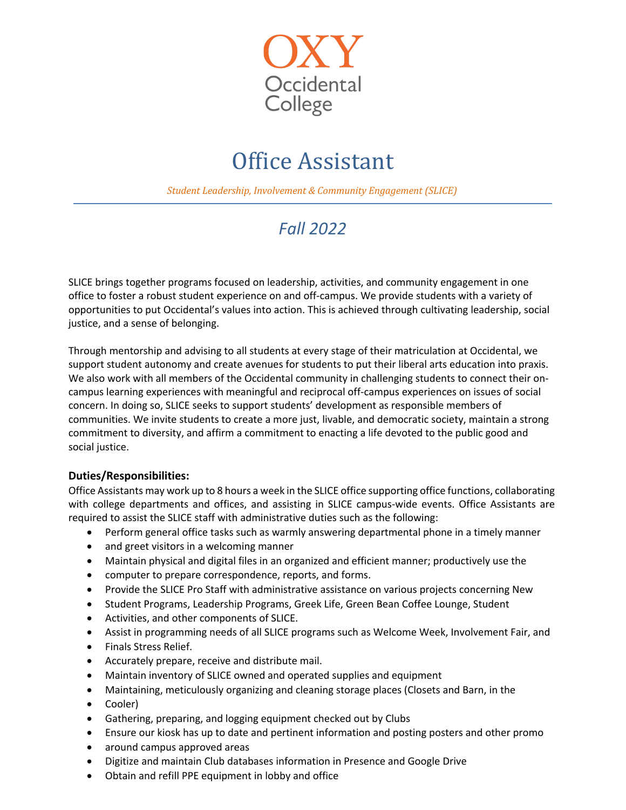

## Office Assistant

**Student Leadership, Involvement & Community Engagement (SLICE)** 

## *Fall 2022*

SLICE brings together programs focused on leadership, activities, and community engagement in one office to foster a robust student experience on and off-campus. We provide students with a variety of opportunities to put Occidental's values into action. This is achieved through cultivating leadership, social justice, and a sense of belonging.

Through mentorship and advising to all students at every stage of their matriculation at Occidental, we support student autonomy and create avenues for students to put their liberal arts education into praxis. We also work with all members of the Occidental community in challenging students to connect their oncampus learning experiences with meaningful and reciprocal off-campus experiences on issues of social concern. In doing so, SLICE seeks to support students' development as responsible members of communities. We invite students to create a more just, livable, and democratic society, maintain a strong commitment to diversity, and affirm a commitment to enacting a life devoted to the public good and social justice.

## **Duties/Responsibilities:**

Office Assistants may work up to 8 hours a week in the SLICE office supporting office functions, collaborating with college departments and offices, and assisting in SLICE campus-wide events. Office Assistants are required to assist the SLICE staff with administrative duties such as the following:

- Perform general office tasks such as warmly answering departmental phone in a timely manner
- and greet visitors in a welcoming manner
- Maintain physical and digital files in an organized and efficient manner; productively use the
- computer to prepare correspondence, reports, and forms.
- Provide the SLICE Pro Staff with administrative assistance on various projects concerning New
- Student Programs, Leadership Programs, Greek Life, Green Bean Coffee Lounge, Student
- Activities, and other components of SLICE.
- Assist in programming needs of all SLICE programs such as Welcome Week, Involvement Fair, and
- Finals Stress Relief.
- Accurately prepare, receive and distribute mail.
- Maintain inventory of SLICE owned and operated supplies and equipment
- Maintaining, meticulously organizing and cleaning storage places (Closets and Barn, in the
- Cooler)
- Gathering, preparing, and logging equipment checked out by Clubs
- Ensure our kiosk has up to date and pertinent information and posting posters and other promo
- around campus approved areas
- Digitize and maintain Club databases information in Presence and Google Drive
- Obtain and refill PPE equipment in lobby and office